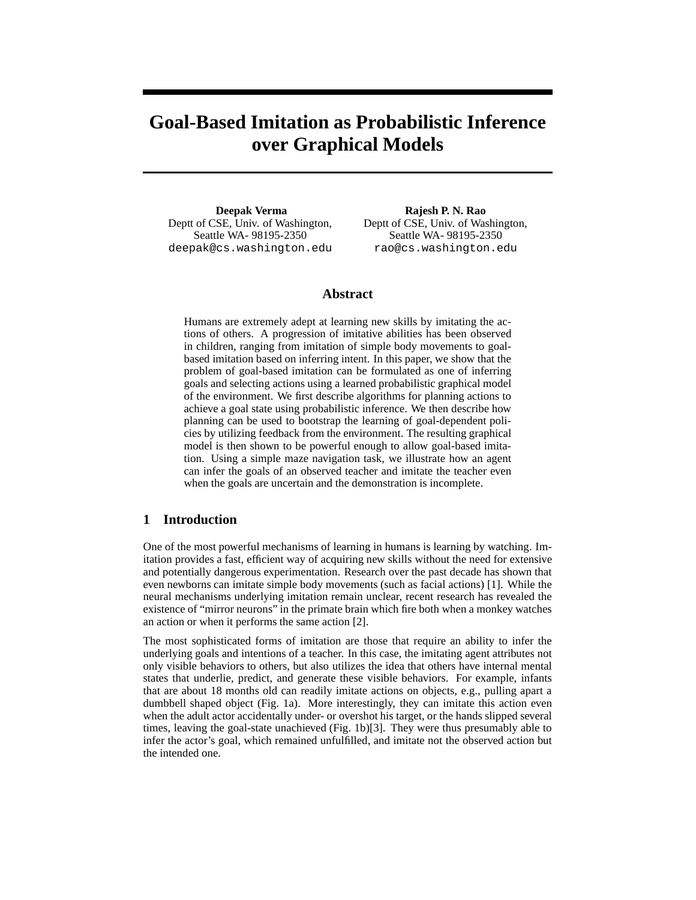# **Goal-Based Imitation as Probabilistic Inference over Graphical Models**

**Deepak Verma** Deptt of CSE, Univ. of Washington, Seattle WA- 98195-2350 deepak@cs.washington.edu

**Rajesh P. N. Rao** Deptt of CSE, Univ. of Washington, Seattle WA- 98195-2350 rao@cs.washington.edu

## **Abstract**

Humans are extremely adept at learning new skills by imitating the actions of others. A progression of imitative abilities has been observed in children, ranging from imitation of simple body movements to goalbased imitation based on inferring intent. In this paper, we show that the problem of goal-based imitation can be formulated as one of inferring goals and selecting actions using a learned probabilistic graphical model of the environment. We first describe algorithms for planning actions to achieve a goal state using probabilistic inference. We then describe how planning can be used to bootstrap the learning of goal-dependent policies by utilizing feedback from the environment. The resulting graphical model is then shown to be powerful enough to allow goal-based imitation. Using a simple maze navigation task, we illustrate how an agent can infer the goals of an observed teacher and imitate the teacher even when the goals are uncertain and the demonstration is incomplete.

## **1 Introduction**

One of the most powerful mechanisms of learning in humans is learning by watching. Imitation provides a fast, efficient way of acquiring new skills without the need for extensive and potentially dangerous experimentation. Research over the past decade has shown that even newborns can imitate simple body movements (such as facial actions) [1]. While the neural mechanisms underlying imitation remain unclear, recent research has revealed the existence of "mirror neurons" in the primate brain which fire both when a monkey watches an action or when it performs the same action [2].

The most sophisticated forms of imitation are those that require an ability to infer the underlying goals and intentions of a teacher. In this case, the imitating agent attributes not only visible behaviors to others, but also utilizes the idea that others have internal mental states that underlie, predict, and generate these visible behaviors. For example, infants that are about 18 months old can readily imitate actions on objects, e.g., pulling apart a dumbbell shaped object (Fig. 1a). More interestingly, they can imitate this action even when the adult actor accidentally under- or overshot his target, or the hands slipped several times, leaving the goal-state unachieved (Fig. 1b)[3]. They were thus presumably able to infer the actor's goal, which remained unfulfilled, and imitate not the observed action but the intended one.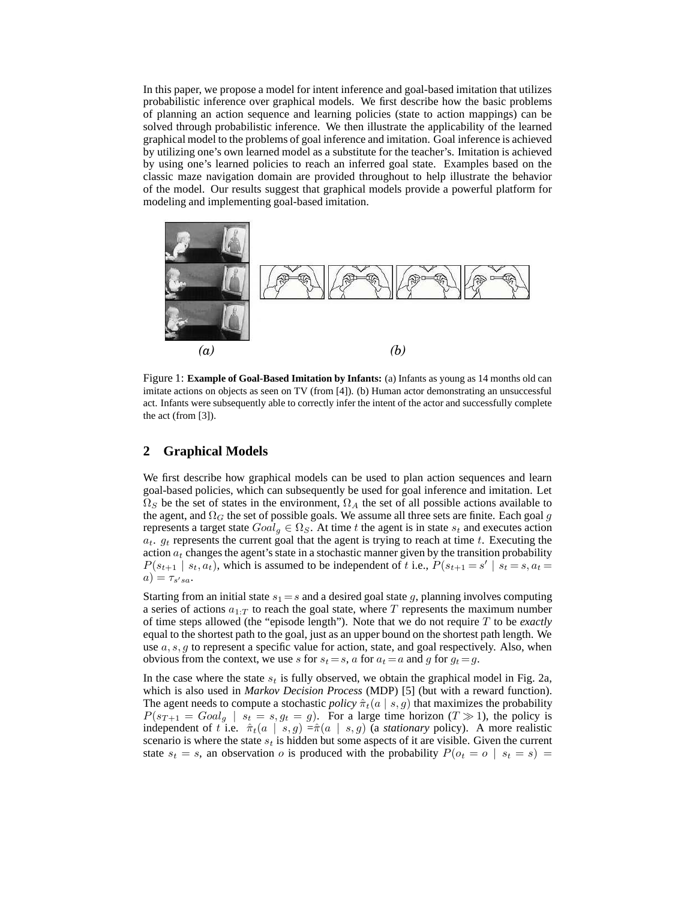In this paper, we propose a model for intent inference and goal-based imitation that utilizes probabilistic inference over graphical models. We first describe how the basic problems of planning an action sequence and learning policies (state to action mappings) can be solved through probabilistic inference. We then illustrate the applicability of the learned graphical model to the problems of goal inference and imitation. Goal inference is achieved by utilizing one's own learned model as a substitute for the teacher's. Imitation is achieved by using one's learned policies to reach an inferred goal state. Examples based on the classic maze navigation domain are provided throughout to help illustrate the behavior of the model. Our results suggest that graphical models provide a powerful platform for modeling and implementing goal-based imitation.



Figure 1: **Example of Goal-Based Imitation by Infants:** (a) Infants as young as 14 months old can imitate actions on objects as seen on TV (from [4]). (b) Human actor demonstrating an unsuccessful act. Infants were subsequently able to correctly infer the intent of the actor and successfully complete the act (from [3]).

## **2 Graphical Models**

We first describe how graphical models can be used to plan action sequences and learn goal-based policies, which can subsequently be used for goal inference and imitation. Let  $\Omega_S$  be the set of states in the environment,  $\Omega_A$  the set of all possible actions available to the agent, and  $\Omega_G$  the set of possible goals. We assume all three sets are finite. Each goal g represents a target state  $Goal_g \in \Omega_S$ . At time t the agent is in state  $s_t$  and executes action  $a_t$ .  $g_t$  represents the current goal that the agent is trying to reach at time t. Executing the action  $a_t$  changes the agent's state in a stochastic manner given by the transition probability  $P(s_{t+1} | s_t, a_t)$ , which is assumed to be independent of t i.e.,  $P(s_{t+1} = s' | s_t = s, a_t = s_t)$  $a) = \tau_{s'sa}.$ 

Starting from an initial state  $s_1 = s$  and a desired goal state g, planning involves computing a series of actions  $a_{1:T}$  to reach the goal state, where T represents the maximum number of time steps allowed (the "episode length"). Note that we do not require T to be *exactly* equal to the shortest path to the goal, just as an upper bound on the shortest path length. We use  $a, s, g$  to represent a specific value for action, state, and goal respectively. Also, when obvious from the context, we use s for  $s_t = s$ , a for  $a_t = a$  and q for  $q_t = q$ .

In the case where the state  $s_t$  is fully observed, we obtain the graphical model in Fig. 2a, which is also used in *Markov Decision Process* (MDP) [5] (but with a reward function). The agent needs to compute a stochastic *policy*  $\hat{\pi}_t(a \mid s, g)$  that maximizes the probability  $P(s_{T+1} = Goal_q \mid s_t = s, g_t = g)$ . For a large time horizon  $(T \gg 1)$ , the policy is independent of t i.e.  $\hat{\pi}_t(a \mid s, g) = \hat{\pi}(a \mid s, g)$  (a *stationary* policy). A more realistic scenario is where the state  $s_t$  is hidden but some aspects of it are visible. Given the current state  $s_t = s$ , an observation o is produced with the probability  $P(o_t = o \mid s_t = s)$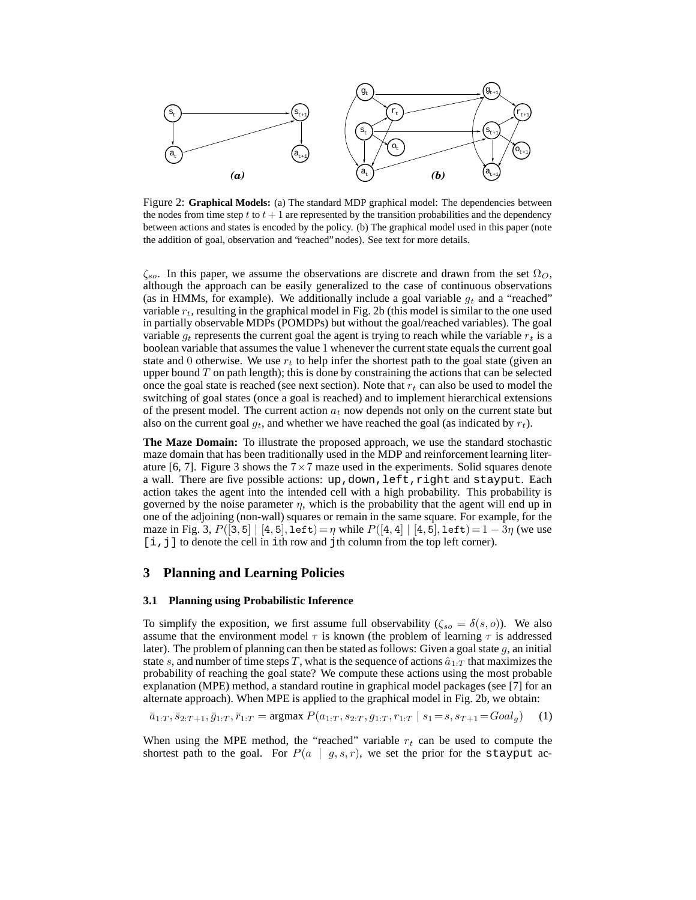

Figure 2: **Graphical Models:** (a) The standard MDP graphical model: The dependencies between the nodes from time step t to  $t + 1$  are represented by the transition probabilities and the dependency between actions and states is encoded by the policy. (b) The graphical model used in this paper (note the addition of goal, observation and "reached" nodes). See text for more details.

 $\zeta_{so}$ . In this paper, we assume the observations are discrete and drawn from the set  $\Omega_O$ , although the approach can be easily generalized to the case of continuous observations (as in HMMs, for example). We additionally include a goal variable  $g_t$  and a "reached" variable  $r_t$ , resulting in the graphical model in Fig. 2b (this model is similar to the one used in partially observable MDPs (POMDPs) but without the goal/reached variables). The goal variable  $g_t$  represents the current goal the agent is trying to reach while the variable  $r_t$  is a boolean variable that assumes the value 1 whenever the current state equals the current goal state and 0 otherwise. We use  $r_t$  to help infer the shortest path to the goal state (given an upper bound  $T$  on path length); this is done by constraining the actions that can be selected once the goal state is reached (see next section). Note that  $r_t$  can also be used to model the switching of goal states (once a goal is reached) and to implement hierarchical extensions of the present model. The current action  $a_t$  now depends not only on the current state but also on the current goal  $g_t$ , and whether we have reached the goal (as indicated by  $r_t$ ).

**The Maze Domain:** To illustrate the proposed approach, we use the standard stochastic maze domain that has been traditionally used in the MDP and reinforcement learning literature [6, 7]. Figure 3 shows the  $7 \times 7$  maze used in the experiments. Solid squares denote a wall. There are five possible actions: up, down, left, right and stayput. Each action takes the agent into the intended cell with a high probability. This probability is governed by the noise parameter  $\eta$ , which is the probability that the agent will end up in one of the adjoining (non-wall) squares or remain in the same square. For example, for the maze in Fig. 3,  $P([3, 5] | [4, 5], \text{left}) = \eta$  while  $P([4, 4] | [4, 5], \text{left}) = 1 - 3\eta$  (we use [i,j] to denote the cell in ith row and jth column from the top left corner).

## **3 Planning and Learning Policies**

#### **3.1 Planning using Probabilistic Inference**

To simplify the exposition, we first assume full observability ( $\zeta_{so} = \delta(s, o)$ ). We also assume that the environment model  $\tau$  is known (the problem of learning  $\tau$  is addressed later). The problem of planning can then be stated as follows: Given a goal state  $g$ , an initial state s, and number of time steps T, what is the sequence of actions  $\hat{a}_{1:T}$  that maximizes the probability of reaching the goal state? We compute these actions using the most probable explanation (MPE) method, a standard routine in graphical model packages (see [7] for an alternate approach). When MPE is applied to the graphical model in Fig. 2b, we obtain:

$$
\bar{a}_{1:T}, \bar{s}_{2:T+1}, \bar{g}_{1:T}, \bar{r}_{1:T} = \operatorname{argmax} P(a_{1:T}, s_{2:T}, g_{1:T}, r_{1:T} \mid s_1 = s, s_{T+1} = Goal_g) \tag{1}
$$

When using the MPE method, the "reached" variable  $r_t$  can be used to compute the shortest path to the goal. For  $P(a | g, s, r)$ , we set the prior for the stayput ac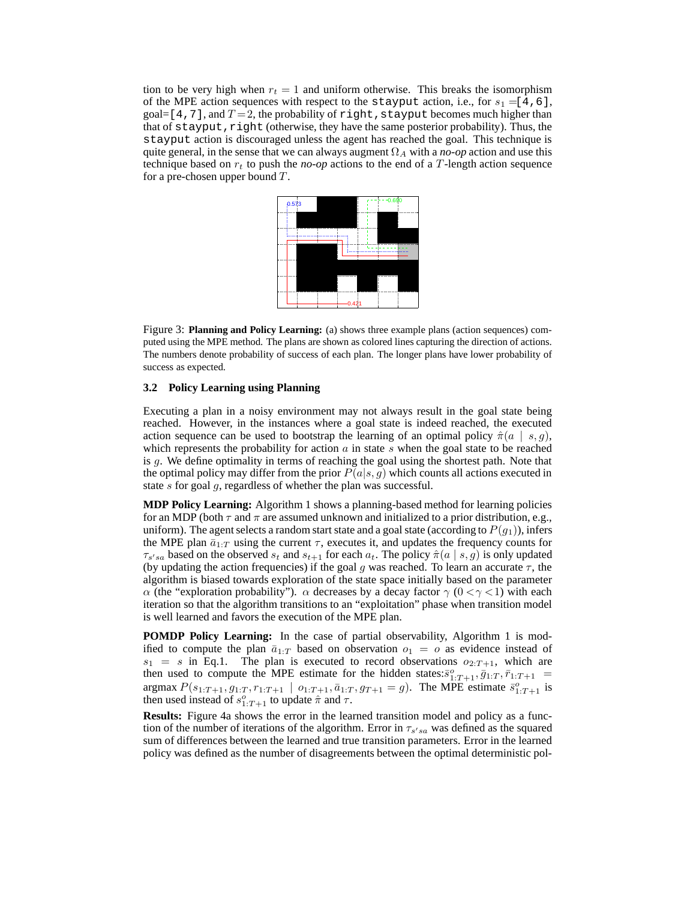tion to be very high when  $r_t = 1$  and uniform otherwise. This breaks the isomorphism of the MPE action sequences with respect to the stayput action, i.e., for  $s_1 = [4, 6]$ , goal=[4,7], and  $T = 2$ , the probability of right, stayput becomes much higher than that of stayput, right (otherwise, they have the same posterior probability). Thus, the stayput action is discouraged unless the agent has reached the goal. This technique is quite general, in the sense that we can always augment  $\Omega_A$  with a *no-op* action and use this technique based on  $r_t$  to push the *no-op* actions to the end of a T-length action sequence for a pre-chosen upper bound  $T$ .



Figure 3: **Planning and Policy Learning:** (a) shows three example plans (action sequences) computed using the MPE method. The plans are shown as colored lines capturing the direction of actions. The numbers denote probability of success of each plan. The longer plans have lower probability of success as expected.

### **3.2 Policy Learning using Planning**

Executing a plan in a noisy environment may not always result in the goal state being reached. However, in the instances where a goal state is indeed reached, the executed action sequence can be used to bootstrap the learning of an optimal policy  $\hat{\pi}(a \mid s, g)$ , which represents the probability for action  $a$  in state  $s$  when the goal state to be reached is  $g$ . We define optimality in terms of reaching the goal using the shortest path. Note that the optimal policy may differ from the prior  $P(a|s, q)$  which counts all actions executed in state s for goal g, regardless of whether the plan was successful.

**MDP Policy Learning:** Algorithm 1 shows a planning-based method for learning policies for an MDP (both  $\tau$  and  $\pi$  are assumed unknown and initialized to a prior distribution, e.g., uniform). The agent selects a random start state and a goal state (according to  $P(g_1)$ ), infers the MPE plan  $\bar{a}_{1:T}$  using the current  $\tau$ , executes it, and updates the frequency counts for  $\tau_{s'sa}$  based on the observed  $s_t$  and  $s_{t+1}$  for each  $a_t$ . The policy  $\hat{\pi}(a \mid s, g)$  is only updated (by updating the action frequencies) if the goal g was reached. To learn an accurate  $\tau$ , the algorithm is biased towards exploration of the state space initially based on the parameter α (the "exploration probability").  $\alpha$  decreases by a decay factor  $\gamma$  (0 <  $\gamma$  < 1) with each iteration so that the algorithm transitions to an "exploitation" phase when transition model is well learned and favors the execution of the MPE plan.

**POMDP Policy Learning:** In the case of partial observability, Algorithm 1 is modified to compute the plan  $\bar{a}_{1:T}$  based on observation  $o_1 = o$  as evidence instead of  $s_1 = s$  in Eq.1. The plan is executed to record observations  $o_{2:T+1}$ , which are then used to compute the MPE estimate for the hidden states:  $\bar{s}^o_{1:T+1}, \bar{g}_{1:T}, \bar{r}_{1:T+1}$  = argmax  $P(s_{1:T+1}, g_{1:T}, r_{1:T+1} | o_{1:T+1}, \bar{a}_{1:T}, g_{T+1} = g)$ . The MPE estimate  $\bar{s}^o_{1:T+1}$  is then used instead of  $s_{1:T+1}^o$  to update  $\hat{\pi}$  and  $\tau$ .

**Results:** Figure 4a shows the error in the learned transition model and policy as a function of the number of iterations of the algorithm. Error in  $\tau_{s'sa}$  was defined as the squared sum of differences between the learned and true transition parameters. Error in the learned policy was defined as the number of disagreements between the optimal deterministic pol-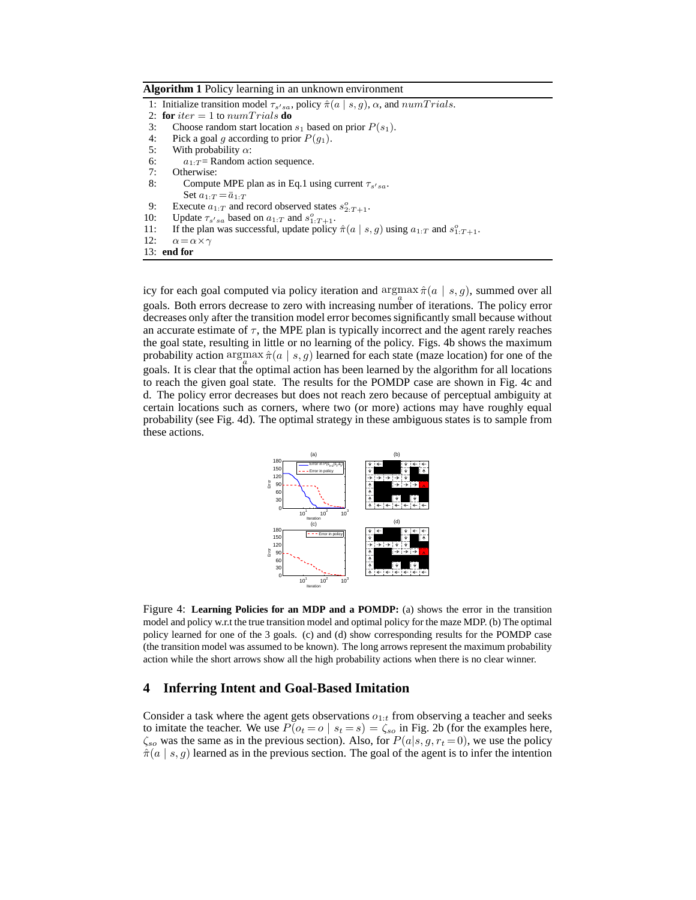**Algorithm 1** Policy learning in an unknown environment

|     | 1: Initialize transition model $\tau_{s'sa}$ , policy $\hat{\pi}(a \mid s, g)$ , $\alpha$ , and $numTrials$ . |
|-----|---------------------------------------------------------------------------------------------------------------|
|     | 2: for iter = 1 to numTrials do                                                                               |
| 3:  | Choose random start location $s_1$ based on prior $P(s_1)$ .                                                  |
| 4:  | Pick a goal q according to prior $P(q_1)$ .                                                                   |
| 5:  | With probability $\alpha$ :                                                                                   |
| 6:  | $a_{1:T}$ Random action sequence.                                                                             |
| 7:  | Otherwise:                                                                                                    |
| 8:  | Compute MPE plan as in Eq.1 using current $\tau_{s'sa}$ .                                                     |
|     | Set $a_1 \cdot \tau = \bar{a}_1 \cdot \tau$                                                                   |
| 9:  | Execute $a_{1:T}$ and record observed states $s^o_{2:T+1}$ .                                                  |
| 10: | Update $\tau_{s'sa}$ based on $a_{1:T}$ and $s_{1:T+1}^o$ .                                                   |
| 11: | If the plan was successful, update policy $\hat{\pi}(a \mid s, g)$ using $a_{1:T}$ and $s_{1:T+1}^o$ .        |
| 12: | $\alpha = \alpha \times \gamma$                                                                               |
|     | $13:$ end for                                                                                                 |
|     |                                                                                                               |

icy for each goal computed via policy iteration and  $\argmax_{a} \hat{\pi}(a \mid s, g)$ , summed over all goals. Both errors decrease to zero with increasing number of iterations. The policy error decreases only after the transition model error becomes significantly small because without an accurate estimate of  $\tau$ , the MPE plan is typically incorrect and the agent rarely reaches the goal state, resulting in little or no learning of the policy. Figs. 4b shows the maximum probability action argmax  $\hat{\pi}(a \mid s, g)$  learned for each state (maze location) for one of the goals. It is clear that the optimal action has been learned by the algorithm for all locations to reach the given goal state. The results for the POMDP case are shown in Fig. 4c and d. The policy error decreases but does not reach zero because of perceptual ambiguity at certain locations such as corners, where two (or more) actions may have roughly equal probability (see Fig. 4d). The optimal strategy in these ambiguous states is to sample from these actions.



Figure 4: **Learning Policies for an MDP and a POMDP:** (a) shows the error in the transition model and policy w.r.t the true transition model and optimal policy for the maze MDP. (b) The optimal policy learned for one of the 3 goals. (c) and (d) show corresponding results for the POMDP case (the transition model was assumed to be known). The long arrows represent the maximum probability action while the short arrows show all the high probability actions when there is no clear winner.

## **4 Inferring Intent and Goal-Based Imitation**

Consider a task where the agent gets observations  $o_{1:t}$  from observing a teacher and seeks to imitate the teacher. We use  $P(o_t = o \mid s_t = s) = \zeta_{so}$  in Fig. 2b (for the examples here,  $\zeta_{so}$  was the same as in the previous section). Also, for  $P(a|s, g, r_t = 0)$ , we use the policy  $\hat{\pi}(a \mid s, g)$  learned as in the previous section. The goal of the agent is to infer the intention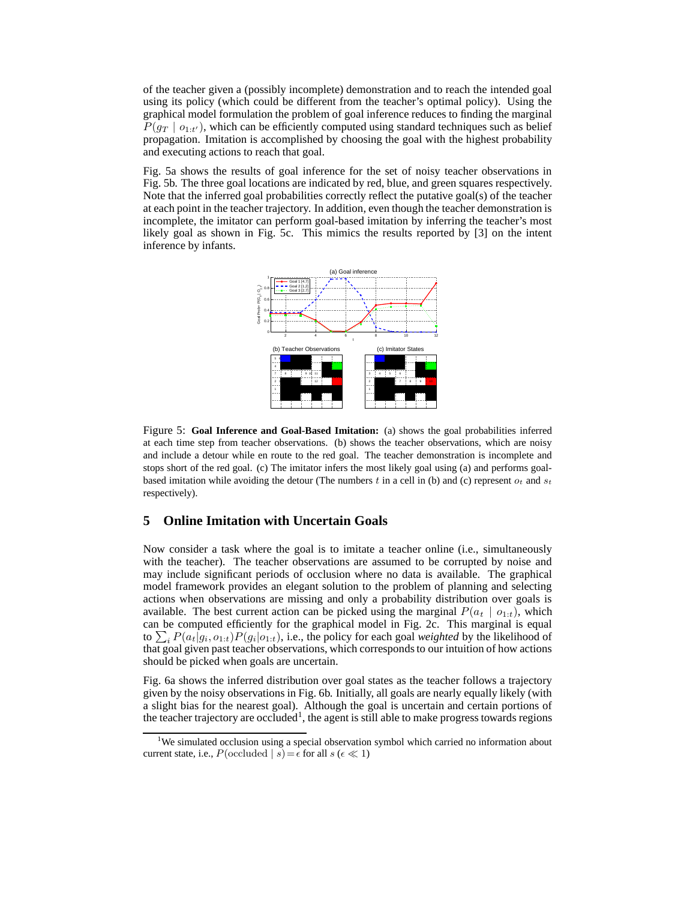of the teacher given a (possibly incomplete) demonstration and to reach the intended goal using its policy (which could be different from the teacher's optimal policy). Using the graphical model formulation the problem of goal inference reduces to finding the marginal  $P(g_T | o_{1:t'})$ , which can be efficiently computed using standard techniques such as belief propagation. Imitation is accomplished by choosing the goal with the highest probability and executing actions to reach that goal.

Fig. 5a shows the results of goal inference for the set of noisy teacher observations in Fig. 5b. The three goal locations are indicated by red, blue, and green squares respectively. Note that the inferred goal probabilities correctly reflect the putative goal(s) of the teacher at each point in the teacher trajectory. In addition, even though the teacher demonstration is incomplete, the imitator can perform goal-based imitation by inferring the teacher's most likely goal as shown in Fig. 5c. This mimics the results reported by [3] on the intent inference by infants.



Figure 5: **Goal Inference and Goal-Based Imitation:** (a) shows the goal probabilities inferred at each time step from teacher observations. (b) shows the teacher observations, which are noisy and include a detour while en route to the red goal. The teacher demonstration is incomplete and stops short of the red goal. (c) The imitator infers the most likely goal using (a) and performs goalbased imitation while avoiding the detour (The numbers t in a cell in (b) and (c) represent  $o_t$  and  $s_t$ respectively).

## **5 Online Imitation with Uncertain Goals**

Now consider a task where the goal is to imitate a teacher online (i.e., simultaneously with the teacher). The teacher observations are assumed to be corrupted by noise and may include significant periods of occlusion where no data is available. The graphical model framework provides an elegant solution to the problem of planning and selecting actions when observations are missing and only a probability distribution over goals is available. The best current action can be picked using the marginal  $P(a_t | o_{1:t})$ , which can be computed efficiently for the graphical model in Fig. 2c. This marginal is equal to  $\sum_{i} P(a_t|g_i, o_{1:t}) P(g_i|o_{1:t})$ , i.e., the policy for each goal *weighted* by the likelihood of that goal given past teacher observations, which corresponds to our intuition of how actions should be picked when goals are uncertain.

Fig. 6a shows the inferred distribution over goal states as the teacher follows a trajectory given by the noisy observations in Fig. 6b. Initially, all goals are nearly equally likely (with a slight bias for the nearest goal). Although the goal is uncertain and certain portions of the teacher trajectory are occluded<sup>1</sup>, the agent is still able to make progress towards regions

<sup>&</sup>lt;sup>1</sup>We simulated occlusion using a special observation symbol which carried no information about current state, i.e.,  $P$ (occluded | s) =  $\epsilon$  for all s ( $\epsilon \ll 1$ )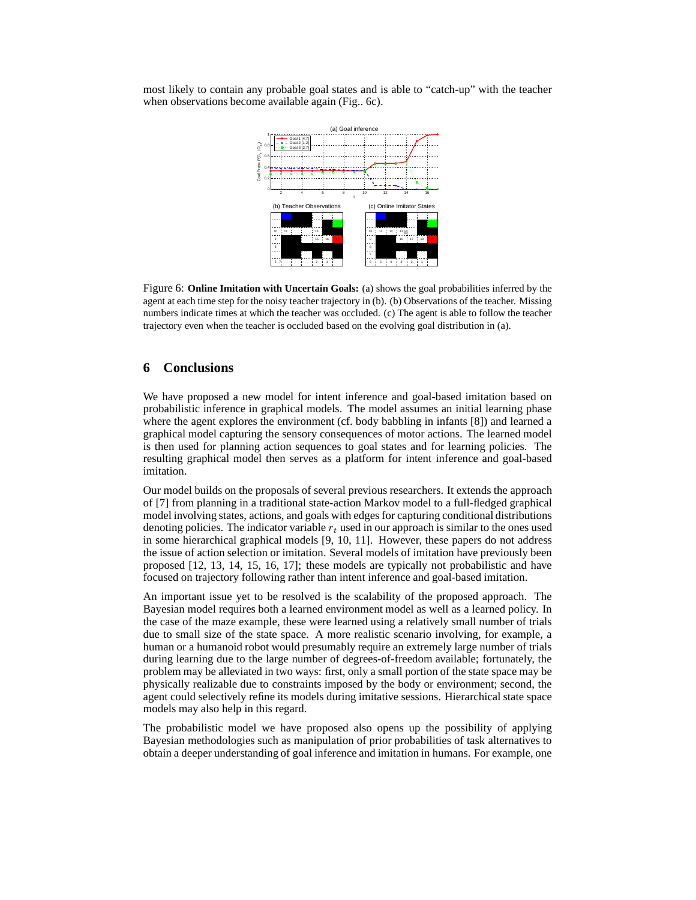most likely to contain any probable goal states and is able to "catch-up" with the teacher when observations become available again (Fig., 6c).



Figure 6: **Online Imitation with Uncertain Goals:** (a) shows the goal probabilities inferred by the agent at each time step for the noisy teacher trajectory in (b). (b) Observations of the teacher. Missing numbers indicate times at which the teacher was occluded. (c) The agent is able to follow the teacher trajectory even when the teacher is occluded based on the evolving goal distribution in (a).

## **6 Conclusions**

We have proposed a new model for intent inference and goal-based imitation based on probabilistic inference in graphical models. The model assumes an initial learning phase where the agent explores the environment (cf. body babbling in infants [8]) and learned a graphical model capturing the sensory consequences of motor actions. The learned model is then used for planning action sequences to goal states and for learning policies. The resulting graphical model then serves as a platform for intent inference and goal-based imitation.

Our model builds on the proposals of several previous researchers. It extends the approach of [7] from planning in a traditional state-action Markov model to a full-fledged graphical model involving states, actions, and goals with edges for capturing conditional distributions denoting policies. The indicator variable  $r_t$  used in our approach is similar to the ones used in some hierarchical graphical models [9, 10, 11]. However, these papers do not address the issue of action selection or imitation. Several models of imitation have previously been proposed [12, 13, 14, 15, 16, 17]; these models are typically not probabilistic and have focused on trajectory following rather than intent inference and goal-based imitation.

An important issue yet to be resolved is the scalability of the proposed approach. The Bayesian model requires both a learned environment model as well as a learned policy. In the case of the maze example, these were learned using a relatively small number of trials due to small size of the state space. A more realistic scenario involving, for example, a human or a humanoid robot would presumably require an extremely large number of trials during learning due to the large number of degrees-of-freedom available; fortunately, the problem may be alleviated in two ways: first, only a small portion of the state space may be physically realizable due to constraints imposed by the body or environment; second, the agent could selectively refine its models during imitative sessions. Hierarchical state space models may also help in this regard.

The probabilistic model we have proposed also opens up the possibility of applying Bayesian methodologies such as manipulation of prior probabilities of task alternatives to obtain a deeper understanding of goal inference and imitation in humans. For example, one